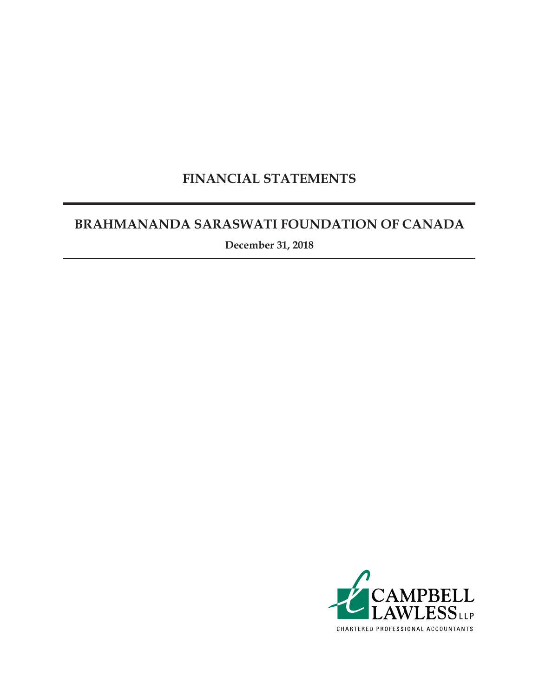### **FINANCIAL STATEMENTS**

### **BRAHMANANDA SARASWATI FOUNDATION OF CANADA**

**December 31, 2018**

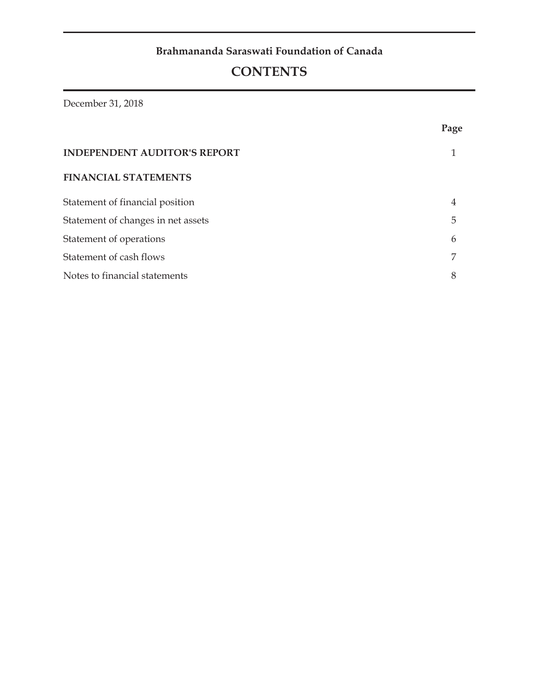### **Brahmananda Saraswati Foundation of Canada**

### **CONTENTS**

December 31, 2018

|                                     | Page |
|-------------------------------------|------|
| <b>INDEPENDENT AUDITOR'S REPORT</b> |      |
| <b>FINANCIAL STATEMENTS</b>         |      |
| Statement of financial position     | 4    |
| Statement of changes in net assets  | 5    |
| Statement of operations             | 6    |
| Statement of cash flows             | 7    |
| Notes to financial statements       | 8    |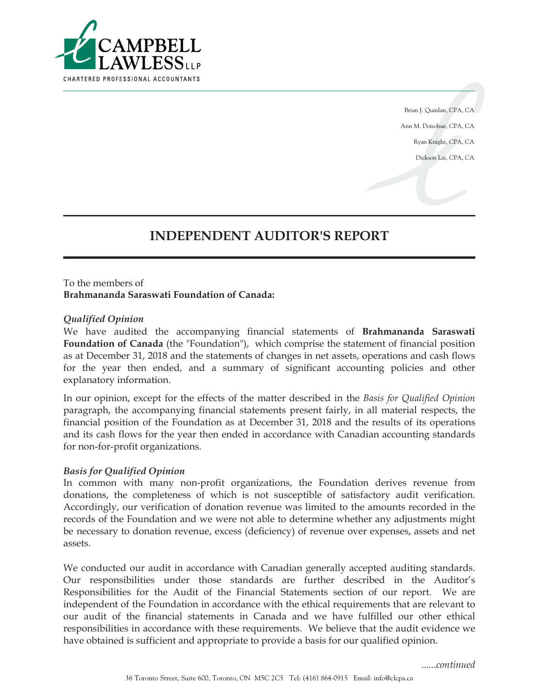

Brian J. Quinlan, CPA, CA Ann M. Donohue, CPA, CA Ryan Knight, CPA, CA Dickson Lai, CPA, CA

### **INDEPENDENT AUDITOR'S REPORT**

#### To the members of **Brahmananda Saraswati Foundation of Canada:**

#### *Qualified Opinion*

We have audited the accompanying financial statements of **Brahmananda Saraswati Foundation of Canada** (the "Foundation"), which comprise the statement of financial position as at December 31, 2018 and the statements of changes in net assets, operations and cash flows for the year then ended, and a summary of significant accounting policies and other explanatory information.

In our opinion, except for the effects of the matter described in the *Basis for Qualified Opinion* paragraph, the accompanying financial statements present fairly, in all material respects, the financial position of the Foundation as at December 31, 2018 and the results of its operations and its cash flows for the year then ended in accordance with Canadian accounting standards for non-for-profit organizations.

#### *Basis for Qualified Opinion*

In common with many non-profit organizations, the Foundation derives revenue from donations, the completeness of which is not susceptible of satisfactory audit verification. Accordingly, our verification of donation revenue was limited to the amounts recorded in the records of the Foundation and we were not able to determine whether any adjustments might be necessary to donation revenue, excess (deficiency) of revenue over expenses, assets and net assets.

We conducted our audit in accordance with Canadian generally accepted auditing standards. Our responsibilities under those standards are further described in the Auditor's Responsibilities for the Audit of the Financial Statements section of our report. We are independent of the Foundation in accordance with the ethical requirements that are relevant to our audit of the financial statements in Canada and we have fulfilled our other ethical responsibilities in accordance with these requirements. We believe that the audit evidence we have obtained is sufficient and appropriate to provide a basis for our qualified opinion.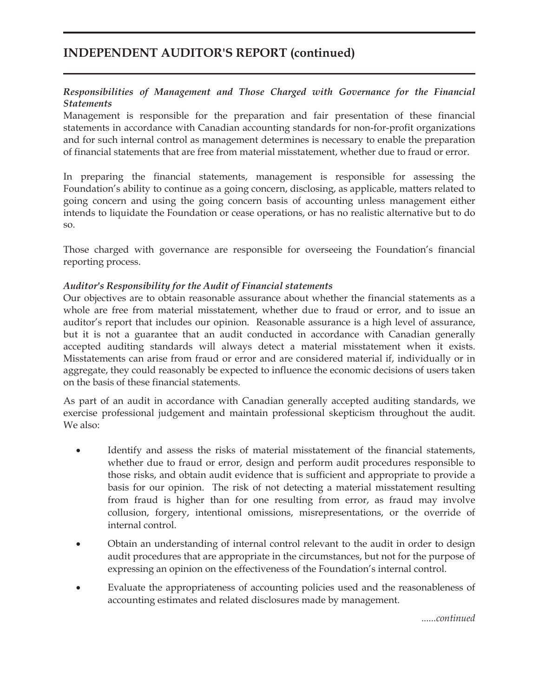### **INDEPENDENT AUDITOR'S REPORT (continued)**

### *Responsibilities of Management and Those Charged with Governance for the Financial Statements*

Management is responsible for the preparation and fair presentation of these financial statements in accordance with Canadian accounting standards for non-for-profit organizations and for such internal control as management determines is necessary to enable the preparation of financial statements that are free from material misstatement, whether due to fraud or error.

In preparing the financial statements, management is responsible for assessing the Foundation's ability to continue as a going concern, disclosing, as applicable, matters related to going concern and using the going concern basis of accounting unless management either intends to liquidate the Foundation or cease operations, or has no realistic alternative but to do so.

Those charged with governance are responsible for overseeing the Foundation's financial reporting process.

#### *Auditor's Responsibility for the Audit of Financial statements*

Our objectives are to obtain reasonable assurance about whether the financial statements as a whole are free from material misstatement, whether due to fraud or error, and to issue an auditor's report that includes our opinion. Reasonable assurance is a high level of assurance, but it is not a guarantee that an audit conducted in accordance with Canadian generally accepted auditing standards will always detect a material misstatement when it exists. Misstatements can arise from fraud or error and are considered material if, individually or in aggregate, they could reasonably be expected to influence the economic decisions of users taken on the basis of these financial statements.

As part of an audit in accordance with Canadian generally accepted auditing standards, we exercise professional judgement and maintain professional skepticism throughout the audit. We also:

- Identify and assess the risks of material misstatement of the financial statements, whether due to fraud or error, design and perform audit procedures responsible to those risks, and obtain audit evidence that is sufficient and appropriate to provide a basis for our opinion. The risk of not detecting a material misstatement resulting from fraud is higher than for one resulting from error, as fraud may involve collusion, forgery, intentional omissions, misrepresentations, or the override of internal control.
- ! Obtain an understanding of internal control relevant to the audit in order to design audit procedures that are appropriate in the circumstances, but not for the purpose of expressing an opinion on the effectiveness of the Foundation's internal control.
- ! Evaluate the appropriateness of accounting policies used and the reasonableness of accounting estimates and related disclosures made by management.

*......continued*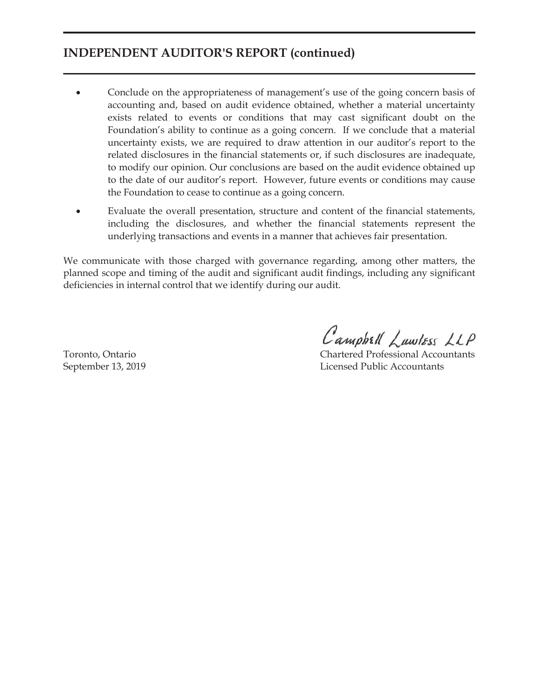### **INDEPENDENT AUDITOR'S REPORT (continued)**

- ! Conclude on the appropriateness of management's use of the going concern basis of accounting and, based on audit evidence obtained, whether a material uncertainty exists related to events or conditions that may cast significant doubt on the Foundation's ability to continue as a going concern. If we conclude that a material uncertainty exists, we are required to draw attention in our auditor's report to the related disclosures in the financial statements or, if such disclosures are inadequate, to modify our opinion. Our conclusions are based on the audit evidence obtained up to the date of our auditor's report. However, future events or conditions may cause the Foundation to cease to continue as a going concern.
- ! Evaluate the overall presentation, structure and content of the financial statements, including the disclosures, and whether the financial statements represent the underlying transactions and events in a manner that achieves fair presentation.

We communicate with those charged with governance regarding, among other matters, the planned scope and timing of the audit and significant audit findings, including any significant deficiencies in internal control that we identify during our audit.

Campbell Lawless LLP

Toronto, Ontario Chartered Professional Accountants September 13, 2019 Licensed Public Accountants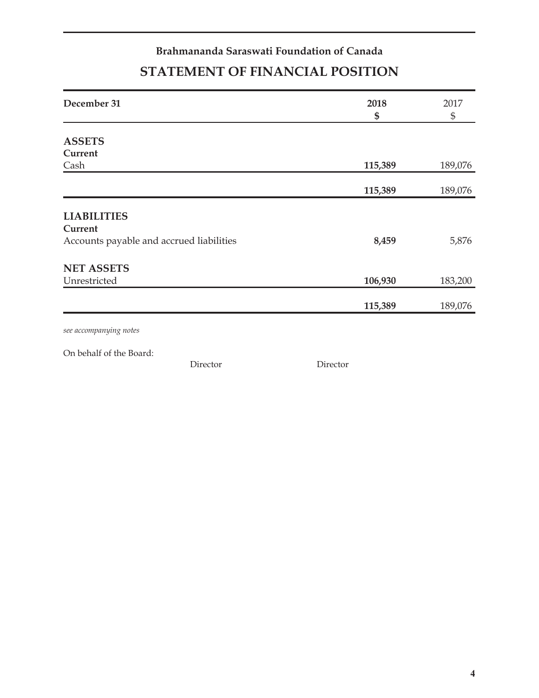### **Brahmananda Saraswati Foundation of Canada STATEMENT OF FINANCIAL POSITION**

| December 31                              | 2018<br>\$ | 2017<br>$\frac{6}{5}$ |
|------------------------------------------|------------|-----------------------|
|                                          |            |                       |
| <b>ASSETS</b>                            |            |                       |
| Current                                  |            |                       |
| Cash                                     | 115,389    | 189,076               |
|                                          | 115,389    | 189,076               |
|                                          |            |                       |
| <b>LIABILITIES</b>                       |            |                       |
| Current                                  |            |                       |
| Accounts payable and accrued liabilities | 8,459      | 5,876                 |
| <b>NET ASSETS</b>                        |            |                       |
| Unrestricted                             | 106,930    | 183,200               |
|                                          |            |                       |
|                                          | 115,389    | 189,076               |
| see accompanying notes                   |            |                       |

On behalf of the Board:

Director Director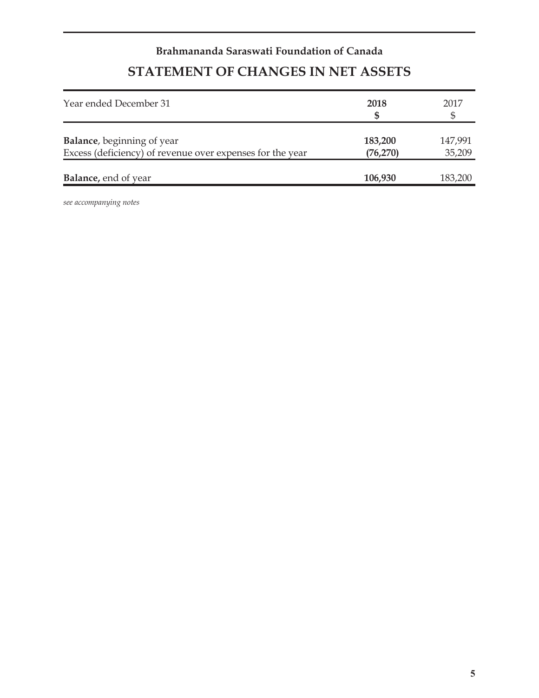# **Brahmananda Saraswati Foundation of Canada STATEMENT OF CHANGES IN NET ASSETS**

| Year ended December 31                                                                          | 2018                 | 2017              |
|-------------------------------------------------------------------------------------------------|----------------------|-------------------|
| <b>Balance</b> , beginning of year<br>Excess (deficiency) of revenue over expenses for the year | 183,200<br>(76, 270) | 147,991<br>35,209 |
| <b>Balance</b> , end of year                                                                    | 106,930              | 183,200           |

*see accompanying notes*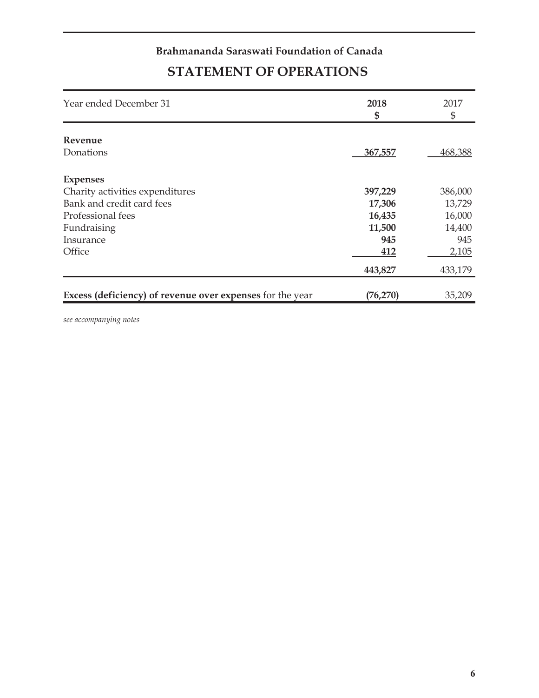### **Brahmananda Saraswati Foundation of Canada STATEMENT OF OPERATIONS**

| Year ended December 31                                    | 2018<br>\$ | 2017<br>\$ |
|-----------------------------------------------------------|------------|------------|
| Revenue                                                   |            |            |
| Donations                                                 | 367,557    | 468,388    |
| <b>Expenses</b>                                           |            |            |
| Charity activities expenditures                           | 397,229    | 386,000    |
| Bank and credit card fees                                 | 17,306     | 13,729     |
| Professional fees                                         | 16,435     | 16,000     |
| Fundraising                                               | 11,500     | 14,400     |
| Insurance                                                 | 945        | 945        |
| Office                                                    | 412        | 2,105      |
|                                                           | 443,827    | 433,179    |
| Excess (deficiency) of revenue over expenses for the year | (76, 270)  | 35,209     |

*see accompanying notes*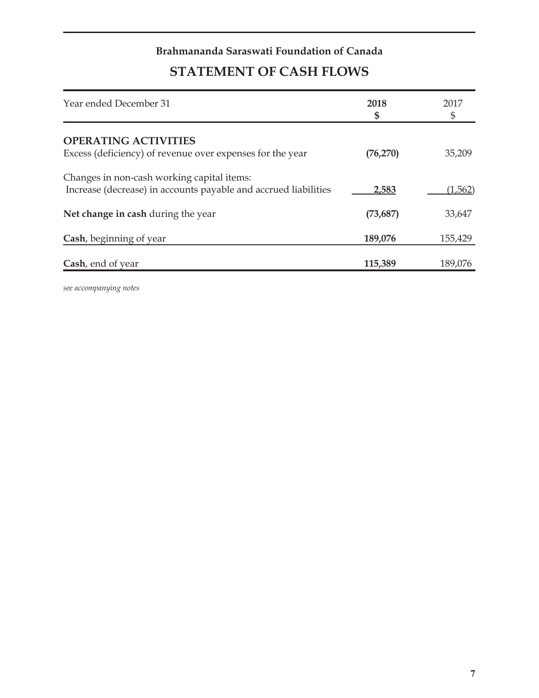# **Brahmananda Saraswati Foundation of Canada**

# **STATEMENT OF CASH FLOWS**

| Year ended December 31                                                                                        | 2018<br>\$ | 2017    |
|---------------------------------------------------------------------------------------------------------------|------------|---------|
| <b>OPERATING ACTIVITIES</b>                                                                                   |            |         |
| Excess (deficiency) of revenue over expenses for the year                                                     | (76, 270)  | 35,209  |
| Changes in non-cash working capital items:<br>Increase (decrease) in accounts payable and accrued liabilities | 2,583      | (1,562) |
|                                                                                                               |            |         |
| Net change in cash during the year                                                                            | (73, 687)  | 33,647  |
| Cash, beginning of year                                                                                       | 189,076    | 155,429 |
| Cash, end of year                                                                                             | 115,389    | 189,076 |

*see accompanying notes*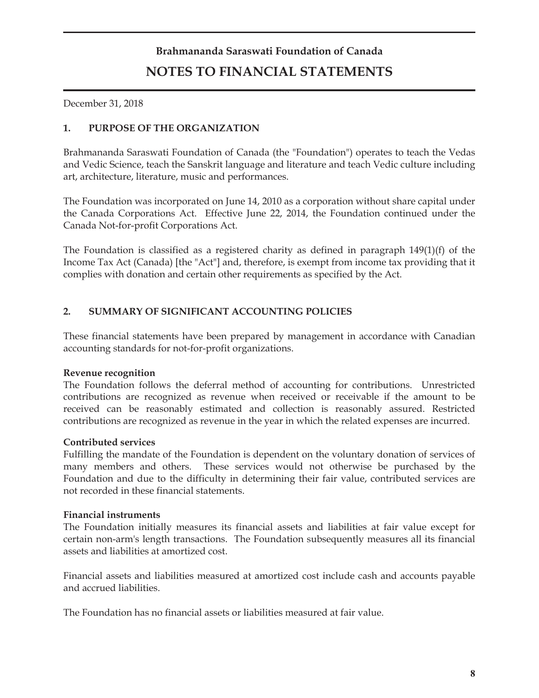# **Brahmananda Saraswati Foundation of Canada NOTES TO FINANCIAL STATEMENTS**

December 31, 2018

### **1. PURPOSE OF THE ORGANIZATION**

Brahmananda Saraswati Foundation of Canada (the "Foundation") operates to teach the Vedas and Vedic Science, teach the Sanskrit language and literature and teach Vedic culture including art, architecture, literature, music and performances.

The Foundation was incorporated on June 14, 2010 as a corporation without share capital under the Canada Corporations Act. Effective June 22, 2014, the Foundation continued under the Canada Not-for-profit Corporations Act.

The Foundation is classified as a registered charity as defined in paragraph 149(1)(f) of the Income Tax Act (Canada) [the "Act"] and, therefore, is exempt from income tax providing that it complies with donation and certain other requirements as specified by the Act.

### **2. SUMMARY OF SIGNIFICANT ACCOUNTING POLICIES**

These financial statements have been prepared by management in accordance with Canadian accounting standards for not-for-profit organizations.

#### **Revenue recognition**

The Foundation follows the deferral method of accounting for contributions. Unrestricted contributions are recognized as revenue when received or receivable if the amount to be received can be reasonably estimated and collection is reasonably assured. Restricted contributions are recognized as revenue in the year in which the related expenses are incurred.

#### **Contributed services**

Fulfilling the mandate of the Foundation is dependent on the voluntary donation of services of many members and others. These services would not otherwise be purchased by the Foundation and due to the difficulty in determining their fair value, contributed services are not recorded in these financial statements.

#### **Financial instruments**

The Foundation initially measures its financial assets and liabilities at fair value except for certain non-arm's length transactions. The Foundation subsequently measures all its financial assets and liabilities at amortized cost.

Financial assets and liabilities measured at amortized cost include cash and accounts payable and accrued liabilities.

The Foundation has no financial assets or liabilities measured at fair value.